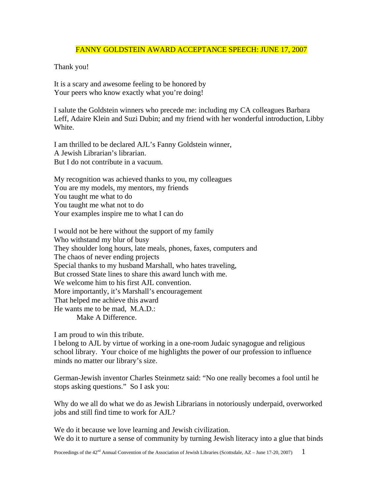## FANNY GOLDSTEIN AWARD ACCEPTANCE SPEECH: JUNE 17, 2007

## Thank you!

It is a scary and awesome feeling to be honored by Your peers who know exactly what you're doing!

I salute the Goldstein winners who precede me: including my CA colleagues Barbara Leff, Adaire Klein and Suzi Dubin; and my friend with her wonderful introduction, Libby White.

I am thrilled to be declared AJL's Fanny Goldstein winner, A Jewish Librarian's librarian. But I do not contribute in a vacuum.

My recognition was achieved thanks to you, my colleagues You are my models, my mentors, my friends You taught me what to do You taught me what not to do Your examples inspire me to what I can do

I would not be here without the support of my family Who withstand my blur of busy They shoulder long hours, late meals, phones, faxes, computers and The chaos of never ending projects Special thanks to my husband Marshall, who hates traveling, But crossed State lines to share this award lunch with me. We welcome him to his first AJL convention. More importantly, it's Marshall's encouragement That helped me achieve this award He wants me to be mad, M.A.D.: Make A Difference.

I am proud to win this tribute.

I belong to AJL by virtue of working in a one-room Judaic synagogue and religious school library. Your choice of me highlights the power of our profession to influence minds no matter our library's size.

German-Jewish inventor Charles Steinmetz said: "No one really becomes a fool until he stops asking questions." So I ask you:

Why do we all do what we do as Jewish Librarians in notoriously underpaid, overworked jobs and still find time to work for AJL?

We do it because we love learning and Jewish civilization. We do it to nurture a sense of community by turning Jewish literacy into a glue that binds